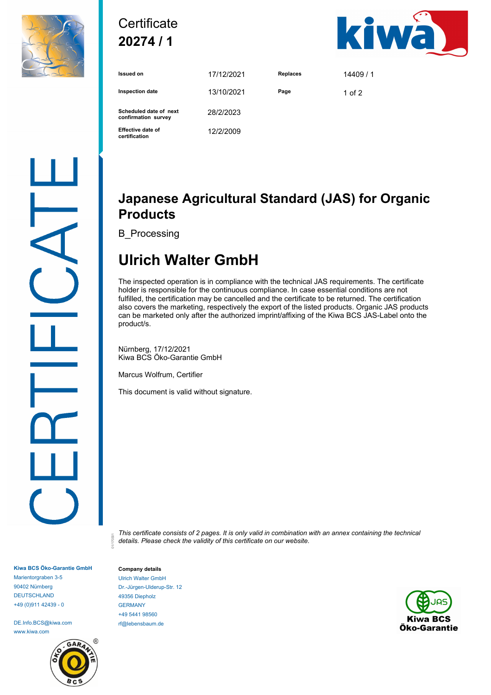

## **Certificate 20274 / 1**



| <b>Issued on</b>                              | 17/12/2021 | <b>Replaces</b> | 14409/1  |
|-----------------------------------------------|------------|-----------------|----------|
| <b>Inspection date</b>                        | 13/10/2021 | Page            | 1 of $2$ |
| Scheduled date of next<br>confirmation survey | 28/2/2023  |                 |          |
| <b>Effective date of</b><br>certification     | 12/2/2009  |                 |          |

### **Japanese Agricultural Standard (JAS) for Organic Products**

B\_Processing

# **Ulrich Walter GmbH**

The inspected operation is in compliance with the technical JAS requirements. The certificate holder is responsible for the continuous compliance. In case essential conditions are not fulfilled, the certification may be cancelled and the certificate to be returned. The certification also covers the marketing, respectively the export of the listed products. Organic JAS products can be marketed only after the authorized imprint/affixing of the Kiwa BCS JAS-Label onto the product/s.

Nürnberg, 17/12/2021 Kiwa BCS Öko-Garantie GmbH

Marcus Wolfrum, Certifier

This document is valid without signature.

*This certificate consists of 2 pages. It is only valid in combination with an annex containing the technical details. Please check the validity of this certificate on our website.*

**Kiwa BCS Öko-Garantie GmbH** Marientorgraben 3-5 90402 Nürnberg DEUTSCHLAND +49 (0)911 42439 - 0

DE.Info.BCS@kiwa.com www.kiwa.com



01/170301

**Company details** Ulrich Walter GmbH Dr.-Jürgen-Ulderup-Str. 12 49356 Diepholz GERMANY +49 5441 98560 rf@lebensbaum.de